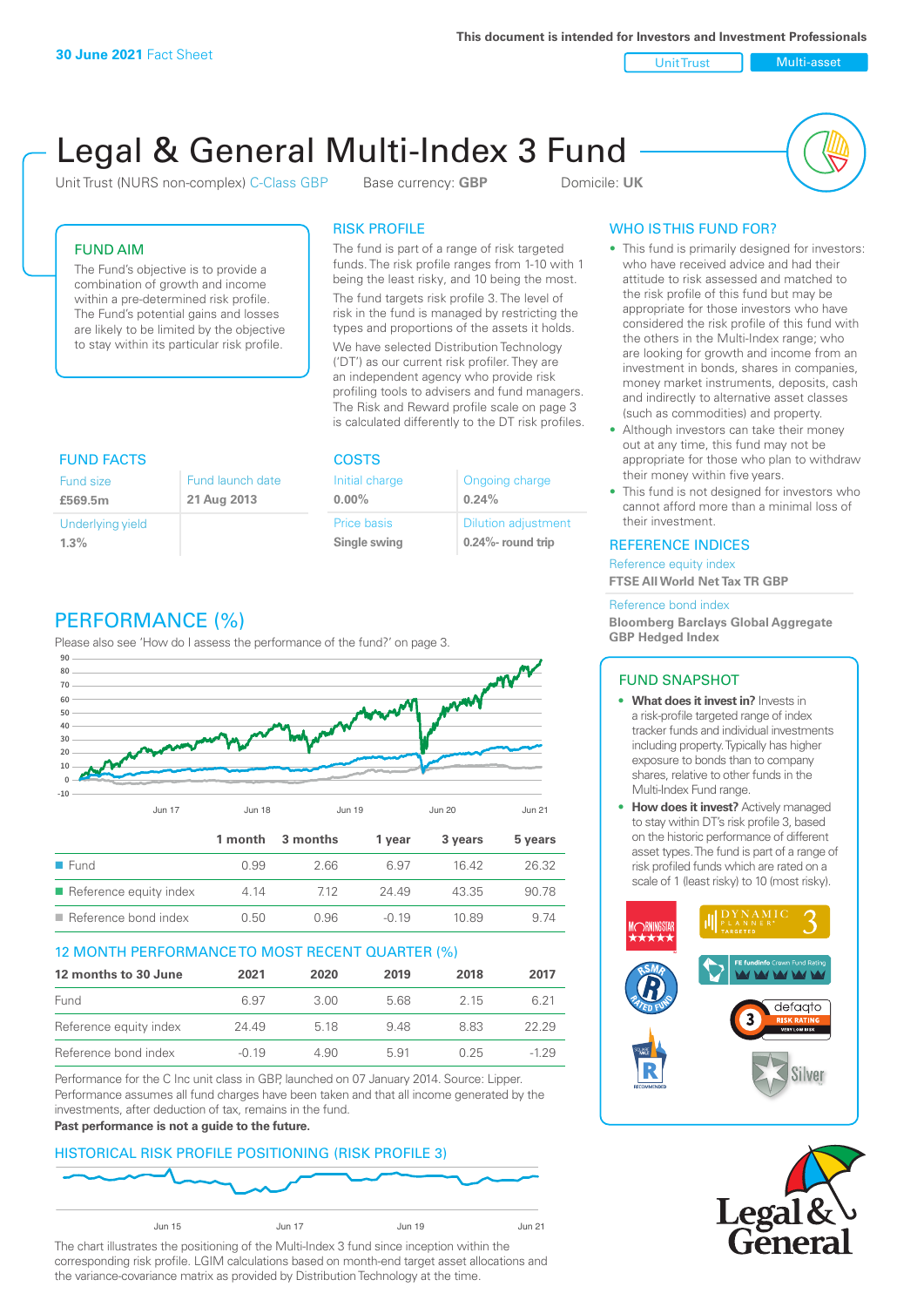**This document is intended for Investors and Investment Professionals**

Unit Trust Nulti-asset

# Legal & General Multi-Index 3 Fund

Unit Trust (NURS non-complex) C-Class GBP Base currency: **GBP** Domicile: UK



# FUND AIM

The Fund's objective is to provide a combination of growth and income within a pre-determined risk profile. The Fund's potential gains and losses are likely to be limited by the objective to stay within its particular risk profile.

# RISK PROFILE

The fund is part of a range of risk targeted funds. The risk profile ranges from 1-10 with 1 being the least risky, and 10 being the most.

The fund targets risk profile 3. The level of risk in the fund is managed by restricting the types and proportions of the assets it holds. We have selected Distribution Technology ('DT') as our current risk profiler. They are an independent agency who provide risk profiling tools to advisers and fund managers. The Risk and Reward profile scale on page 3 is calculated differently to the DT risk profiles.

| <b>FUND FACTS</b> |                  | <b>COSTS</b>   |                            |  |
|-------------------|------------------|----------------|----------------------------|--|
| Fund size         | Fund launch date | Initial charge | Ongoing charge             |  |
| £569.5m           | 21 Aug 2013      | $0.00\%$       | 0.24%                      |  |
| Underlying yield  |                  | Price basis    | <b>Dilution adjustment</b> |  |
| 1.3%              |                  | Single swing   | 0.24%- round trip          |  |

# PERFORMANCE (%)

Please also see 'How do I assess the performance of the fund?' on page 3.



# 12 MONTH PERFORMANCE TO MOST RECENT QUARTER (%)

| 12 months to 30 June   | 2021    | 2020 | 2019 | 2018 | 2017   |
|------------------------|---------|------|------|------|--------|
| Fund                   | 6.97    | 3.00 | 568  | 2.15 | 6.21   |
| Reference equity index | 24.49   | 5 18 | 948  | 883  | 22.29  |
| Reference bond index   | $-0.19$ | 4.90 | 5.91 | 0.25 | $-129$ |

Performance for the C Inc unit class in GBP, launched on 07 January 2014. Source: Lipper. Performance assumes all fund charges have been taken and that all income generated by the investments, after deduction of tax, remains in the fund.

#### **Past performance is not a guide to the future.**





The chart illustrates the positioning of the Multi-Index 3 fund since inception within the corresponding risk profile. LGIM calculations based on month-end target asset allocations and the variance-covariance matrix as provided by Distribution Technology at the time.

# WHO IS THIS FUND FOR?

- This fund is primarily designed for investors: who have received advice and had their attitude to risk assessed and matched to the risk profile of this fund but may be appropriate for those investors who have considered the risk profile of this fund with the others in the Multi-Index range; who are looking for growth and income from an investment in bonds, shares in companies, money market instruments, deposits, cash and indirectly to alternative asset classes (such as commodities) and property.
- Although investors can take their money out at any time, this fund may not be appropriate for those who plan to withdraw their money within five years.
- This fund is not designed for investors who cannot afford more than a minimal loss of their investment.

#### REFERENCE INDICES

Reference equity index **FTSE All World Net Tax TR GBP**

#### Reference bond index

**Bloomberg Barclays Global Aggregate GBP Hedged Index**

# FUND SNAPSHOT

- **• What does it invest in?** Invests in a risk-profile targeted range of index tracker funds and individual investments including property. Typically has higher exposure to bonds than to company shares, relative to other funds in the Multi-Index Fund range.
- **• How does it invest?** Actively managed to stay within DT's risk profile 3, based on the historic performance of different asset types. The fund is part of a range of risk profiled funds which are rated on a scale of 1 (least risky) to 10 (most risky).



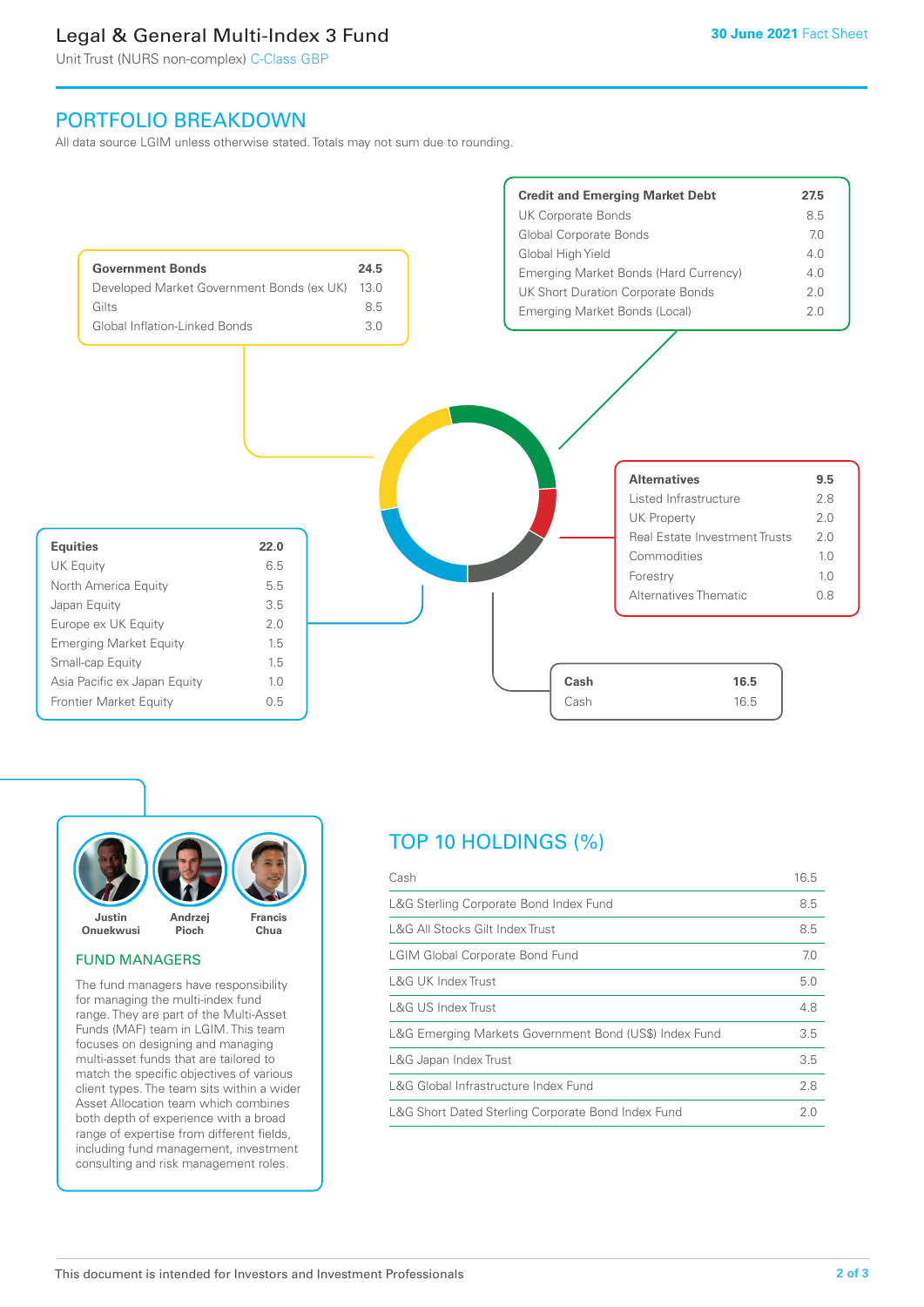# Legal & General Multi-Index 3 Fund

Unit Trust (NURS non-complex) C-Class GBP

# PORTFOLIO BREAKDOWN

All data source LGIM unless otherwise stated. Totals may not sum due to rounding.





#### FUND MANAGERS

The fund managers have responsibility for managing the multi-index fund range. They are part of the Multi-Asset Funds (MAF) team in LGIM. This team focuses on designing and managing multi-asset funds that are tailored to match the specific objectives of various client types. The team sits within a wider Asset Allocation team which combines both depth of experience with a broad range of expertise from different fields, including fund management, investment consulting and risk management roles.

# TOP 10 HOLDINGS (%)

| Cash                                                   | 16.5 |
|--------------------------------------------------------|------|
| L&G Sterling Corporate Bond Index Fund                 | 8.5  |
| L&G All Stocks Gilt Index Trust                        | 8.5  |
| <b>LGIM Global Corporate Bond Fund</b>                 | 7.0  |
| L&G UK Index Trust                                     | 5.0  |
| <b>L&amp;G US Index Trust</b>                          | 4.8  |
| L&G Emerging Markets Government Bond (US\$) Index Fund | 3.5  |
| L&G Japan Index Trust                                  | 3.5  |
| L&G Global Infrastructure Index Fund                   | 2.8  |
| L&G Short Dated Sterling Corporate Bond Index Fund     | 2.0  |